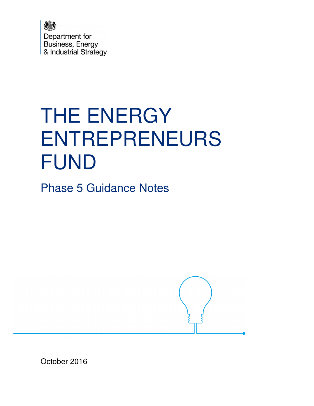

# THE ENERGY ENTREPRENEURS FUND

Phase 5 Guidance Notes



October 2016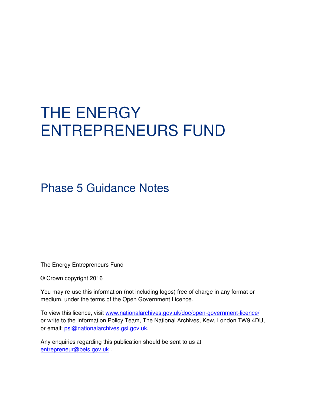# THE ENERGY ENTREPRENEURS FUND

# Phase 5 Guidance Notes

The Energy Entrepreneurs Fund

© Crown copyright 2016

You may re-use this information (not including logos) free of charge in any format or medium, under the terms of the Open Government Licence.

To view this licence, visit www.nationalarchives.gov.uk/doc/open-government-licence/ or write to the Information Policy Team, The National Archives, Kew, London TW9 4DU, or email: psi@nationalarchives.gsi.gov.uk.

Any enquiries regarding this publication should be sent to us at entrepreneur@beis.gov.uk .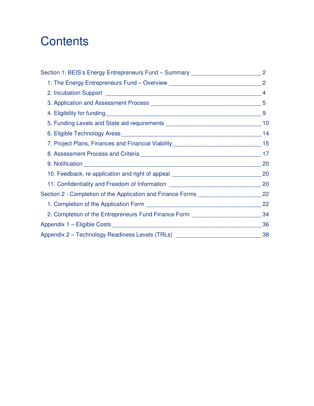# **Contents**

| Section 1: BEIS's Energy Entrepreneurs Fund - Summary _________________________2     |    |
|--------------------------------------------------------------------------------------|----|
|                                                                                      |    |
|                                                                                      |    |
|                                                                                      |    |
|                                                                                      |    |
| 5. Funding Levels and State aid requirements ___________________________________10   |    |
|                                                                                      |    |
| 7. Project Plans, Finances and Financial Viability______________________________15   |    |
|                                                                                      |    |
|                                                                                      | 20 |
| 10. Feedback, re-application and right of appeal _________________________________20 |    |
| 11. Confidentiality and Freedom of Information __________________________________ 20 |    |
| Section 2 - Completion of the Application and Finance Forms _____________________ 22 |    |
|                                                                                      |    |
| 2. Completion of the Entrepreneurs Fund Finance Form ___________________________     | 34 |
|                                                                                      | 36 |
| Appendix 2 - Technology Readiness Levels (TRLs) _______________________________38    |    |
|                                                                                      |    |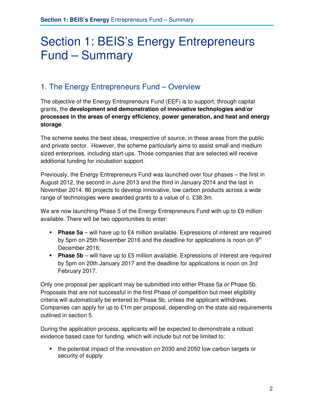# Section 1: BEIS's Energy Entrepreneurs Fund – Summary

# 1. The Energy Entrepreneurs Fund – Overview

The objective of the Energy Entrepreneurs Fund (EEF) is to support, through capital grants, the **development and demonstration of innovative technologies and/or processes in the areas of energy efficiency, power generation, and heat and energy storage**.

The scheme seeks the best ideas, irrespective of source, in these areas from the public and private sector. However, the scheme particularly aims to assist small and medium sized enterprises, including start-ups. Those companies that are selected will receive additional funding for incubation support.

Previously, the Energy Entrepreneurs Fund was launched over four phases – the first in August 2012, the second in June 2013 and the third in January 2014 and the last in November 2014. 86 projects to develop innovative, low carbon products across a wide range of technologies were awarded grants to a value of c. £38.3m.

We are now launching Phase 5 of the Energy Entrepreneurs Fund with up to £9 million available. There will be two opportunities to enter:

- **Phase 5a** will have up to £4 million available. Expressions of interest are required by 5pm on 25th November 2016 and the deadline for applications is noon on  $9<sup>th</sup>$ December 2016;
- **Phase 5b** will have up to £5 million available. Expressions of interest are required by 5pm on 20th January 2017 and the deadline for applications is noon on 3rd February 2017.

Only one proposal per applicant may be submitted into either Phase 5a or Phase 5b. Proposals that are not successful in the first Phase of competition but meet eligibility criteria will automatically be entered to Phase 5b, unless the applicant withdraws. Companies can apply for up to £1m per proposal, depending on the state aid requirements outlined in section 5.

During the application process, applicants will be expected to demonstrate a robust evidence based case for funding, which will include but not be limited to:

• the potential impact of the innovation on 2030 and 2050 low carbon targets or security of supply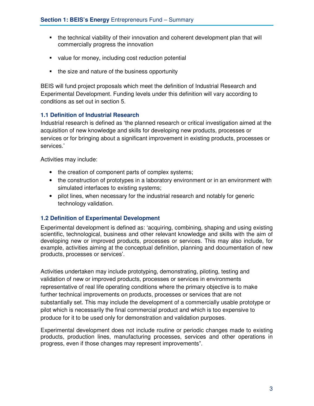- the technical viability of their innovation and coherent development plan that will commercially progress the innovation
- value for money, including cost reduction potential
- the size and nature of the business opportunity

BEIS will fund project proposals which meet the definition of Industrial Research and Experimental Development. Funding levels under this definition will vary according to conditions as set out in section 5.

#### **1.1 Definition of Industrial Research**

Industrial research is defined as 'the planned research or critical investigation aimed at the acquisition of new knowledge and skills for developing new products, processes or services or for bringing about a significant improvement in existing products, processes or services.'

Activities may include:

- the creation of component parts of complex systems;
- the construction of prototypes in a laboratory environment or in an environment with simulated interfaces to existing systems;
- pilot lines, when necessary for the industrial research and notably for generic technology validation.

#### **1.2 Definition of Experimental Development**

Experimental development is defined as: 'acquiring, combining, shaping and using existing scientific, technological, business and other relevant knowledge and skills with the aim of developing new or improved products, processes or services. This may also include, for example, activities aiming at the conceptual definition, planning and documentation of new products, processes or services'.

Activities undertaken may include prototyping, demonstrating, piloting, testing and validation of new or improved products, processes or services in environments representative of real life operating conditions where the primary objective is to make further technical improvements on products, processes or services that are not substantially set. This may include the development of a commercially usable prototype or pilot which is necessarily the final commercial product and which is too expensive to produce for it to be used only for demonstration and validation purposes.

Experimental development does not include routine or periodic changes made to existing products, production lines, manufacturing processes, services and other operations in progress, even if those changes may represent improvements".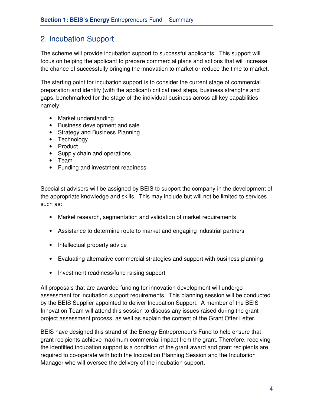### 2. Incubation Support

The scheme will provide incubation support to successful applicants. This support will focus on helping the applicant to prepare commercial plans and actions that will increase the chance of successfully bringing the innovation to market or reduce the time to market.

The starting point for incubation support is to consider the current stage of commercial preparation and identify (with the applicant) critical next steps, business strengths and gaps, benchmarked for the stage of the individual business across all key capabilities namely:

- Market understanding
- Business development and sale
- Strategy and Business Planning
- Technology
- Product
- Supply chain and operations
- Team
- Funding and investment readiness

Specialist advisers will be assigned by BEIS to support the company in the development of the appropriate knowledge and skills. This may include but will not be limited to services such as:

- Market research, segmentation and validation of market requirements
- Assistance to determine route to market and engaging industrial partners
- Intellectual property advice
- Evaluating alternative commercial strategies and support with business planning
- Investment readiness/fund raising support

All proposals that are awarded funding for innovation development will undergo assessment for incubation support requirements. This planning session will be conducted by the BEIS Supplier appointed to deliver Incubation Support. A member of the BEIS Innovation Team will attend this session to discuss any issues raised during the grant project assessment process, as well as explain the content of the Grant Offer Letter.

BEIS have designed this strand of the Energy Entrepreneur's Fund to help ensure that grant recipients achieve maximum commercial impact from the grant. Therefore, receiving the identified incubation support is a condition of the grant award and grant recipients are required to co-operate with both the Incubation Planning Session and the Incubation Manager who will oversee the delivery of the incubation support.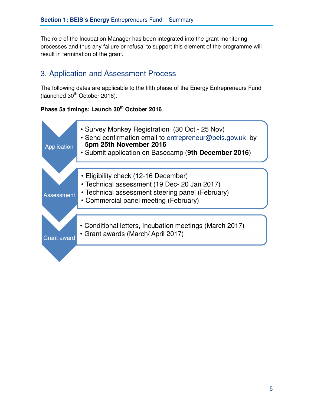The role of the Incubation Manager has been integrated into the grant monitoring processes and thus any failure or refusal to support this element of the programme will result in termination of the grant.

# 3. Application and Assessment Process

The following dates are applicable to the fifth phase of the Energy Entrepreneurs Fund  $(la$ unched  $30<sup>th</sup>$  October 2016):

#### **Phase 5a timings: Launch 30th October 2016**

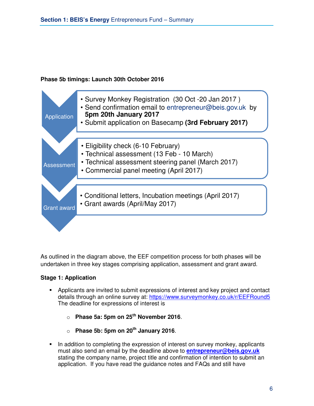#### **Phase 5b timings: Launch 30th October 2016**



As outlined in the diagram above, the EEF competition process for both phases will be undertaken in three key stages comprising application, assessment and grant award.

#### **Stage 1: Application**

- Applicants are invited to submit expressions of interest and key project and contact details through an online survey at: https://www.surveymonkey.co.uk/r/EEFRound5 The deadline for expressions of interest is
	- o **Phase 5a: 5pm on 25th November 2016**.
	- o **Phase 5b: 5pm on 20th January 2016**.
- In addition to completing the expression of interest on survey monkey, applicants must also send an email by the deadline above to **entrepreneur@beis.gov.uk** stating the company name, project title and confirmation of intention to submit an application. If you have read the guidance notes and FAQs and still have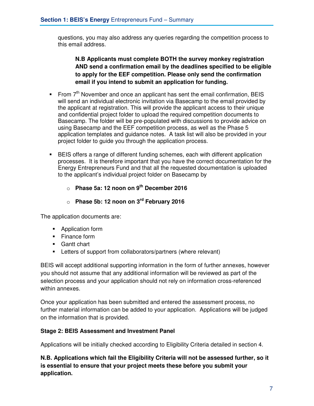questions, you may also address any queries regarding the competition process to this email address.

#### **N.B Applicants must complete BOTH the survey monkey registration AND send a confirmation email by the deadlines specified to be eligible to apply for the EEF competition. Please only send the confirmation email if you intend to submit an application for funding.**

- From  $7<sup>th</sup>$  November and once an applicant has sent the email confirmation, BEIS will send an individual electronic invitation via Basecamp to the email provided by the applicant at registration. This will provide the applicant access to their unique and confidential project folder to upload the required competition documents to Basecamp. The folder will be pre-populated with discussions to provide advice on using Basecamp and the EEF competition process, as well as the Phase 5 application templates and guidance notes. A task list will also be provided in your project folder to guide you through the application process.
- BEIS offers a range of different funding schemes, each with different application processes. It is therefore important that you have the correct documentation for the Energy Entrepreneurs Fund and that all the requested documentation is uploaded to the applicant's individual project folder on Basecamp by
	- o **Phase 5a: 12 noon on 9th December 2016**
	- o **Phase 5b: 12 noon on 3rd February 2016**

The application documents are:

- **Application form**
- Finance form
- **Gantt chart**
- Letters of support from collaborators/partners (where relevant)

BEIS will accept additional supporting information in the form of further annexes, however you should not assume that any additional information will be reviewed as part of the selection process and your application should not rely on information cross-referenced within annexes.

Once your application has been submitted and entered the assessment process, no further material information can be added to your application. Applications will be judged on the information that is provided.

#### **Stage 2: BEIS Assessment and Investment Panel**

Applications will be initially checked according to Eligibility Criteria detailed in section 4.

**N.B. Applications which fail the Eligibility Criteria will not be assessed further, so it is essential to ensure that your project meets these before you submit your application.**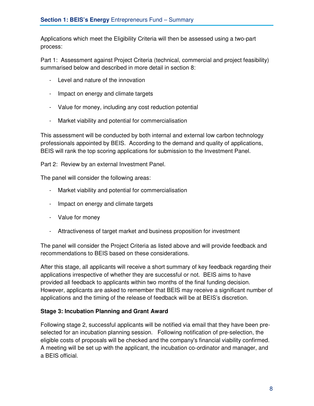Applications which meet the Eligibility Criteria will then be assessed using a two-part process:

Part 1: Assessment against Project Criteria (technical, commercial and project feasibility) summarised below and described in more detail in section 8:

- Level and nature of the innovation
- Impact on energy and climate targets
- Value for money, including any cost reduction potential
- Market viability and potential for commercialisation

This assessment will be conducted by both internal and external low carbon technology professionals appointed by BEIS. According to the demand and quality of applications, BEIS will rank the top scoring applications for submission to the Investment Panel.

Part 2: Review by an external Investment Panel.

The panel will consider the following areas:

- Market viability and potential for commercialisation
- Impact on energy and climate targets
- Value for money
- Attractiveness of target market and business proposition for investment

The panel will consider the Project Criteria as listed above and will provide feedback and recommendations to BEIS based on these considerations.

After this stage, all applicants will receive a short summary of key feedback regarding their applications irrespective of whether they are successful or not. BEIS aims to have provided all feedback to applicants within two months of the final funding decision. However, applicants are asked to remember that BEIS may receive a significant number of applications and the timing of the release of feedback will be at BEIS's discretion.

#### **Stage 3: Incubation Planning and Grant Award**

Following stage 2, successful applicants will be notified via email that they have been preselected for an incubation planning session. Following notification of pre-selection, the eligible costs of proposals will be checked and the company's financial viability confirmed. A meeting will be set up with the applicant, the incubation co-ordinator and manager, and a BEIS official.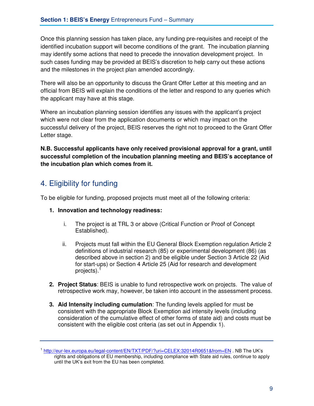Once this planning session has taken place, any funding pre-requisites and receipt of the identified incubation support will become conditions of the grant. The incubation planning may identify some actions that need to precede the innovation development project. In such cases funding may be provided at BEIS's discretion to help carry out these actions and the milestones in the project plan amended accordingly.

There will also be an opportunity to discuss the Grant Offer Letter at this meeting and an official from BEIS will explain the conditions of the letter and respond to any queries which the applicant may have at this stage.

Where an incubation planning session identifies any issues with the applicant's project which were not clear from the application documents or which may impact on the successful delivery of the project, BEIS reserves the right not to proceed to the Grant Offer Letter stage.

**N.B. Successful applicants have only received provisional approval for a grant, until successful completion of the incubation planning meeting and BEIS's acceptance of the incubation plan which comes from it.** 

# 4. Eligibility for funding

To be eligible for funding, proposed projects must meet all of the following criteria:

- **1. Innovation and technology readiness:** 
	- i. The project is at TRL 3 or above (Critical Function or Proof of Concept Established).
	- ii. Projects must fall within the EU General Block Exemption regulation Article 2 definitions of industrial research (85) or experimental development (86) (as described above in section 2) and be eligible under Section 3 Article 22 (Aid for start-ups) or Section 4 Article 25 (Aid for research and development projects). $<sup>1</sup>$ </sup>
- **2. Project Status**: BEIS is unable to fund retrospective work on projects. The value of retrospective work may, however, be taken into account in the assessment process.
- **3. Aid Intensity including cumulation**: The funding levels applied for must be consistent with the appropriate Block Exemption aid intensity levels (including consideration of the cumulative effect of other forms of state aid) and costs must be consistent with the eligible cost criteria (as set out in Appendix 1).

<sup>&</sup>lt;sup>1</sup> http://eur-lex.europa.eu/legal-content/EN/TXT/PDF/?uri=CELEX:32014R0651&from=EN . NB The UK's rights and obligations of EU membership, including compliance with State aid rules, continue to apply until the UK's exit from the EU has been completed.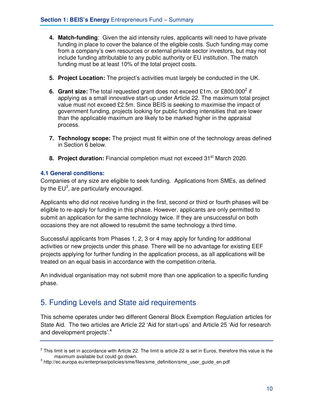- **4. Match-funding**: Given the aid intensity rules, applicants will need to have private funding in place to cover the balance of the eligible costs. Such funding may come from a company's own resources or external private sector investors, but may not include funding attributable to any public authority or EU institution. The match funding must be at least 10% of the total project costs.
- **5. Project Location:** The project's activities must largely be conducted in the UK.
- **6. Grant size:** The total requested grant does not exceed £1m, or £800,000<sup>2</sup> if applying as a small innovative start-up under Article 22. The maximum total project value must not exceed £2.5m. Since BEIS is seeking to maximise the impact of government funding, projects looking for public funding intensities that are lower than the applicable maximum are likely to be marked higher in the appraisal process.
- **7. Technology scope:** The project must fit within one of the technology areas defined in Section 6 below.
- **8. Project duration:** Financial completion must not exceed 31<sup>st</sup> March 2020.

#### **4.1 General conditions:**

Companies of any size are eligible to seek funding. Applications from SMEs, as defined by the EU<sup>3</sup>, are particularly encouraged.

Applicants who did not receive funding in the first, second or third or fourth phases will be eligible to re-apply for funding in this phase. However, applicants are only permitted to submit an application for the same technology twice. If they are unsuccessful on both occasions they are not allowed to resubmit the same technology a third time.

Successful applicants from Phases 1, 2, 3 or 4 may apply for funding for additional activities or new projects under this phase. There will be no advantage for existing EEF projects applying for further funding in the application process, as all applications will be treated on an equal basis in accordance with the competition criteria.

An individual organisation may not submit more than one application to a specific funding phase.

### 5. Funding Levels and State aid requirements

This scheme operates under two different General Block Exemption Regulation articles for State Aid. The two articles are Article 22 'Aid for start-ups' and Article 25 'Aid for research and development projects'.<sup>4</sup>

 $^2$  This limit is set in accordance with Article 22. The limit is article 22 is set in Euros, therefore this value is the maximum available but could go down.

<sup>&</sup>lt;sup>3</sup> http://ec.europa.eu/enterprise/policies/sme/files/sme\_definition/sme\_user\_guide\_en.pdf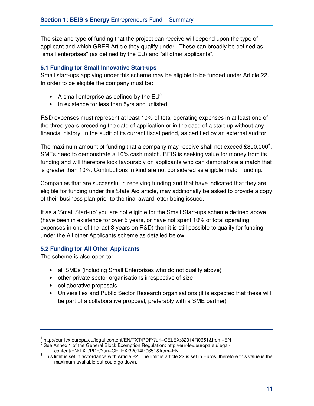The size and type of funding that the project can receive will depend upon the type of applicant and which GBER Article they qualify under. These can broadly be defined as "small enterprises" (as defined by the EU) and "all other applicants".

#### **5.1 Funding for Small Innovative Start-ups**

Small start-ups applying under this scheme may be eligible to be funded under Article 22. In order to be eligible the company must be:

- A small enterprise as defined by the  $EU<sup>5</sup>$
- In existence for less than 5yrs and unlisted

R&D expenses must represent at least 10% of total operating expenses in at least one of the three years preceding the date of application or in the case of a start-up without any financial history, in the audit of its current fiscal period, as certified by an external auditor.

The maximum amount of funding that a company may receive shall not exceed £800,000 $^6$ . SMEs need to demonstrate a 10% cash match. BEIS is seeking value for money from its funding and will therefore look favourably on applicants who can demonstrate a match that is greater than 10%. Contributions in kind are not considered as eligible match funding.

Companies that are successful in receiving funding and that have indicated that they are eligible for funding under this State Aid article, may additionally be asked to provide a copy of their business plan prior to the final award letter being issued.

If as a 'Small Start-up' you are not eligible for the Small Start-ups scheme defined above (have been in existence for over 5 years, or have not spent 10% of total operating expenses in one of the last 3 years on R&D) then it is still possible to qualify for funding under the All other Applicants scheme as detailed below.

#### **5.2 Funding for All Other Applicants**

The scheme is also open to:

- all SMEs (including Small Enterprises who do not qualify above)
- other private sector organisations irrespective of size
- collaborative proposals
- Universities and Public Sector Research organisations (it is expected that these will be part of a collaborative proposal, preferably with a SME partner)

 4 http://eur-lex.europa.eu/legal-content/EN/TXT/PDF/?uri=CELEX:32014R0651&from=EN

<sup>&</sup>lt;sup>5</sup> See Annex 1 of the General Block Exemption Regulation: http://eur-lex.europa.eu/legalcontent/EN/TXT/PDF/?uri=CELEX:32014R0651&from=EN

 $^6$  This limit is set in accordance with Article 22. The limit is article 22 is set in Euros, therefore this value is the maximum available but could go down.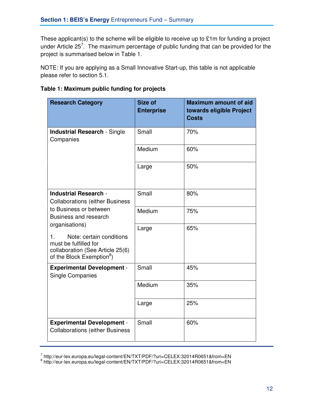These applicant(s) to the scheme will be eligible to receive up to £1m for funding a project under Article 25<sup>7</sup>. The maximum percentage of public funding that can be provided for the project is summarised below in Table 1.

NOTE: If you are applying as a Small Innovative Start-up, this table is not applicable please refer to section 5.1.

| <b>Research Category</b>                                                                                                                                                                                  | Size of<br><b>Enterprise</b> | <b>Maximum amount of aid</b><br>towards eligible Project<br><b>Costs</b> |
|-----------------------------------------------------------------------------------------------------------------------------------------------------------------------------------------------------------|------------------------------|--------------------------------------------------------------------------|
| <b>Industrial Research - Single</b><br>Companies                                                                                                                                                          | Small                        | 70%                                                                      |
|                                                                                                                                                                                                           | Medium                       | 60%                                                                      |
|                                                                                                                                                                                                           | Large                        | 50%                                                                      |
| <b>Industrial Research -</b><br><b>Collaborations (either Business)</b>                                                                                                                                   | Small                        | 80%                                                                      |
| to Business or between<br>Business and research<br>organisations)<br>Note: certain conditions<br>1.<br>must be fulfilled for<br>collaboration (See Article 25(6)<br>of the Block Exemption <sup>8</sup> ) | Medium                       | 75%                                                                      |
|                                                                                                                                                                                                           | Large                        | 65%                                                                      |
| <b>Experimental Development -</b><br><b>Single Companies</b>                                                                                                                                              | Small                        | 45%                                                                      |
|                                                                                                                                                                                                           | Medium                       | 35%                                                                      |
|                                                                                                                                                                                                           | Large                        | 25%                                                                      |
| <b>Experimental Development -</b><br><b>Collaborations (either Business</b>                                                                                                                               | Small                        | 60%                                                                      |

**Table 1: Maximum public funding for projects** 

<sup>&</sup>lt;sup>7</sup> http://eur-lex.europa.eu/legal-content/EN/TXT/PDF/?uri=CELEX:32014R0651&from=EN<br><sup>8</sup> http://eur-lex.europa.eu/legal-content/EN/TXT/PDF/?uri=CELEX:32014R0651&from=EN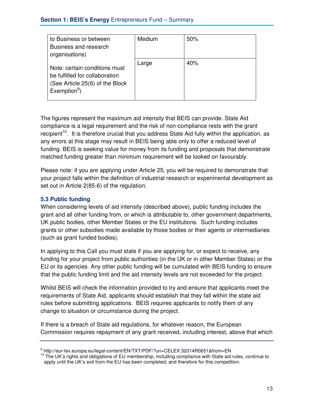| to Business or between                                                                                                | Medium | 50% |
|-----------------------------------------------------------------------------------------------------------------------|--------|-----|
| Business and research                                                                                                 |        |     |
| organisations)                                                                                                        |        |     |
| Note: certain conditions must<br>be fulfilled for collaboration<br>(See Article 25(6) of the Block<br>Exemption $9$ ) | Large  | 40% |

The figures represent the maximum aid intensity that BEIS can provide. State Aid compliance is a legal requirement and the risk of non-compliance rests with the grant recipient<sup>10</sup>. It is therefore crucial that you address State Aid fully within the application, as any errors at this stage may result in BEIS being able only to offer a reduced level of funding. BEIS is seeking value for money from its funding and proposals that demonstrate matched funding greater than minimum requirement will be looked on favourably.

Please note: if you are applying under Article 25, you will be required to demonstrate that your project falls within the definition of industrial research or experimental development as set out in Article 2(85-6) of the regulation.

#### **5.3 Public funding**

When considering levels of aid intensity (described above), public funding includes the grant and all other funding from, or which is attributable to, other government departments, UK public bodies, other Member States or the EU institutions. Such funding includes grants or other subsidies made available by those bodies or their agents or intermediaries (such as grant funded bodies).

In applying to this Call you must state if you are applying for, or expect to receive, any funding for your project from public authorities (in the UK or in other Member States) or the EU or its agencies. Any other public funding will be cumulated with BEIS funding to ensure that the public funding limit and the aid intensity levels are not exceeded for the project.

Whilst BEIS will check the information provided to try and ensure that applicants meet the requirements of State Aid, applicants should establish that they fall within the state aid rules before submitting applications. BEIS requires applicants to notify them of any change to situation or circumstance during the project.

If there is a breach of State aid regulations, for whatever reason, the European Commission requires repayment of any grant received, including interest, above that which

<sup>9</sup> http://eur-lex.europa.eu/legal-content/EN/TXT/PDF/?uri=CELEX:32014R0651&from=EN

<sup>&</sup>lt;sup>10</sup> The UK's rights and obligations of EU membership, including compliance with State aid rules, continue to apply until the UK's exit from the EU has been completed, and therefore for this competition.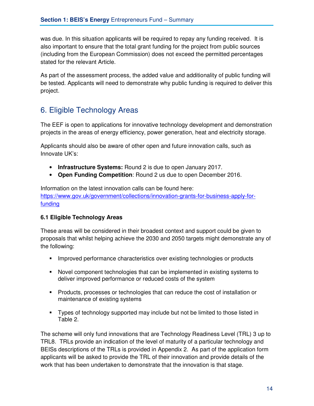was due. In this situation applicants will be required to repay any funding received. It is also important to ensure that the total grant funding for the project from public sources (including from the European Commission) does not exceed the permitted percentages stated for the relevant Article.

As part of the assessment process, the added value and additionality of public funding will be tested. Applicants will need to demonstrate why public funding is required to deliver this project.

# 6. Eligible Technology Areas

The EEF is open to applications for innovative technology development and demonstration projects in the areas of energy efficiency, power generation, heat and electricity storage.

Applicants should also be aware of other open and future innovation calls, such as Innovate UK's:

- **Infrastructure Systems:** Round 2 is due to open January 2017.
- **Open Funding Competition**: Round 2 us due to open December 2016.

Information on the latest innovation calls can be found here: https://www.gov.uk/government/collections/innovation-grants-for-business-apply-forfunding

#### **6.1 Eligible Technology Areas**

These areas will be considered in their broadest context and support could be given to proposals that whilst helping achieve the 2030 and 2050 targets might demonstrate any of the following:

- Improved performance characteristics over existing technologies or products
- Novel component technologies that can be implemented in existing systems to deliver improved performance or reduced costs of the system
- Products, processes or technologies that can reduce the cost of installation or maintenance of existing systems
- Types of technology supported may include but not be limited to those listed in Table 2.

The scheme will only fund innovations that are Technology Readiness Level (TRL) 3 up to TRL8. TRLs provide an indication of the level of maturity of a particular technology and BEISs descriptions of the TRLs is provided in Appendix 2. As part of the application form applicants will be asked to provide the TRL of their innovation and provide details of the work that has been undertaken to demonstrate that the innovation is that stage.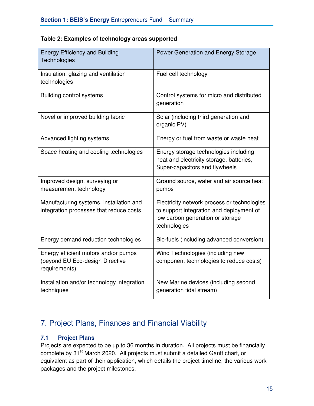| <b>Energy Efficiency and Building</b><br>Technologies                                    | Power Generation and Energy Storage                                                                                                         |
|------------------------------------------------------------------------------------------|---------------------------------------------------------------------------------------------------------------------------------------------|
| Insulation, glazing and ventilation<br>technologies                                      | Fuel cell technology                                                                                                                        |
| <b>Building control systems</b>                                                          | Control systems for micro and distributed<br>generation                                                                                     |
| Novel or improved building fabric                                                        | Solar (including third generation and<br>organic PV)                                                                                        |
| Advanced lighting systems                                                                | Energy or fuel from waste or waste heat                                                                                                     |
| Space heating and cooling technologies                                                   | Energy storage technologies including<br>heat and electricity storage, batteries,<br>Super-capacitors and flywheels                         |
| Improved design, surveying or<br>measurement technology                                  | Ground source, water and air source heat<br>pumps                                                                                           |
| Manufacturing systems, installation and<br>integration processes that reduce costs       | Electricity network process or technologies<br>to support integration and deployment of<br>low carbon generation or storage<br>technologies |
| Energy demand reduction technologies                                                     | Bio-fuels (including advanced conversion)                                                                                                   |
| Energy efficient motors and/or pumps<br>(beyond EU Eco-design Directive<br>requirements) | Wind Technologies (including new<br>component technologies to reduce costs)                                                                 |
| Installation and/or technology integration<br>techniques                                 | New Marine devices (including second<br>generation tidal stream)                                                                            |

#### **Table 2: Examples of technology areas supported**

# 7. Project Plans, Finances and Financial Viability

#### **7.1 Project Plans**

Projects are expected to be up to 36 months in duration. All projects must be financially complete by 31<sup>st</sup> March 2020. All projects must submit a detailed Gantt chart, or equivalent as part of their application, which details the project timeline, the various work packages and the project milestones.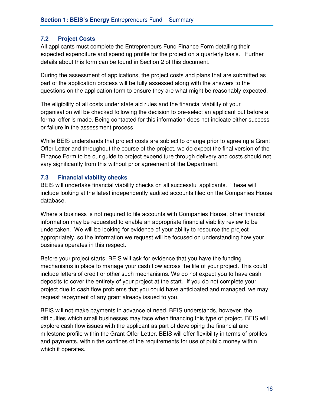#### **7.2 Project Costs**

All applicants must complete the Entrepreneurs Fund Finance Form detailing their expected expenditure and spending profile for the project on a quarterly basis. Further details about this form can be found in Section 2 of this document.

During the assessment of applications, the project costs and plans that are submitted as part of the application process will be fully assessed along with the answers to the questions on the application form to ensure they are what might be reasonably expected.

The eligibility of all costs under state aid rules and the financial viability of your organisation will be checked following the decision to pre-select an applicant but before a formal offer is made. Being contacted for this information does not indicate either success or failure in the assessment process.

While BEIS understands that project costs are subject to change prior to agreeing a Grant Offer Letter and throughout the course of the project, we do expect the final version of the Finance Form to be our guide to project expenditure through delivery and costs should not vary significantly from this without prior agreement of the Department.

#### **7.3 Financial viability checks**

BEIS will undertake financial viability checks on all successful applicants. These will include looking at the latest independently audited accounts filed on the Companies House database.

Where a business is not required to file accounts with Companies House, other financial information may be requested to enable an appropriate financial viability review to be undertaken. We will be looking for evidence of your ability to resource the project appropriately, so the information we request will be focused on understanding how your business operates in this respect.

Before your project starts, BEIS will ask for evidence that you have the funding mechanisms in place to manage your cash flow across the life of your project. This could include letters of credit or other such mechanisms. We do not expect you to have cash deposits to cover the entirety of your project at the start. If you do not complete your project due to cash flow problems that you could have anticipated and managed, we may request repayment of any grant already issued to you.

BEIS will not make payments in advance of need. BEIS understands, however, the difficulties which small businesses may face when financing this type of project. BEIS will explore cash flow issues with the applicant as part of developing the financial and milestone profile within the Grant Offer Letter. BEIS will offer flexibility in terms of profiles and payments, within the confines of the requirements for use of public money within which it operates.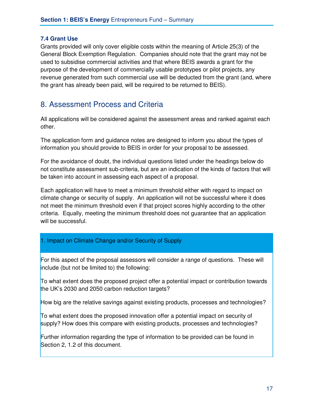#### **7.4 Grant Use**

Grants provided will only cover eligible costs within the meaning of Article 25(3) of the General Block Exemption Regulation. Companies should note that the grant may not be used to subsidise commercial activities and that where BEIS awards a grant for the purpose of the development of commercially usable prototypes or pilot projects, any revenue generated from such commercial use will be deducted from the grant (and, where the grant has already been paid, will be required to be returned to BEIS).

# 8. Assessment Process and Criteria

All applications will be considered against the assessment areas and ranked against each other.

The application form and guidance notes are designed to inform you about the types of information you should provide to BEIS in order for your proposal to be assessed.

For the avoidance of doubt, the individual questions listed under the headings below do not constitute assessment sub-criteria, but are an indication of the kinds of factors that will be taken into account in assessing each aspect of a proposal.

Each application will have to meet a minimum threshold either with regard to impact on climate change or security of supply. An application will not be successful where it does not meet the minimum threshold even if that project scores highly according to the other criteria. Equally, meeting the minimum threshold does not guarantee that an application will be successful.

#### 1. Impact on Climate Change and/or Security of Supply

For this aspect of the proposal assessors will consider a range of questions. These will include (but not be limited to) the following:

To what extent does the proposed project offer a potential impact or contribution towards the UK's 2030 and 2050 carbon reduction targets?

How big are the relative savings against existing products, processes and technologies?

To what extent does the proposed innovation offer a potential impact on security of supply? How does this compare with existing products, processes and technologies?

Further information regarding the type of information to be provided can be found in Section 2, 1.2 of this document.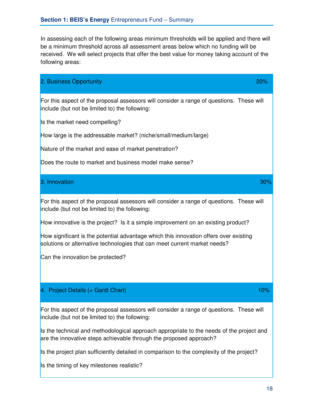In assessing each of the following areas minimum thresholds will be applied and there will be a minimum threshold across all assessment areas below which no funding will be received. We will select projects that offer the best value for money taking account of the following areas:

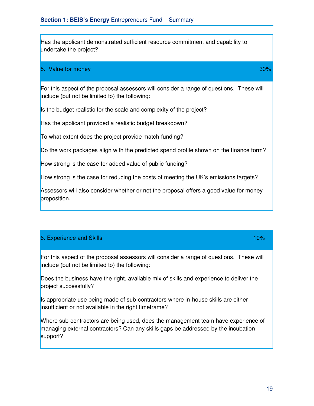Has the applicant demonstrated sufficient resource commitment and capability to undertake the project?

#### 5. Value for money 30%

For this aspect of the proposal assessors will consider a range of questions. These will include (but not be limited to) the following:

Is the budget realistic for the scale and complexity of the project?

Has the applicant provided a realistic budget breakdown?

To what extent does the project provide match-funding?

Do the work packages align with the predicted spend profile shown on the finance form?

How strong is the case for added value of public funding?

How strong is the case for reducing the costs of meeting the UK's emissions targets?

Assessors will also consider whether or not the proposal offers a good value for money proposition.

#### 6. Experience and Skills 10% and  $\sim$  10% and  $\sim$  10% and  $\sim$  10%

For this aspect of the proposal assessors will consider a range of questions. These will include (but not be limited to) the following:

Does the business have the right, available mix of skills and experience to deliver the project successfully?

Is appropriate use being made of sub-contractors where in-house skills are either insufficient or not available in the right timeframe?

Where sub-contractors are being used, does the management team have experience of managing external contractors? Can any skills gaps be addressed by the incubation support?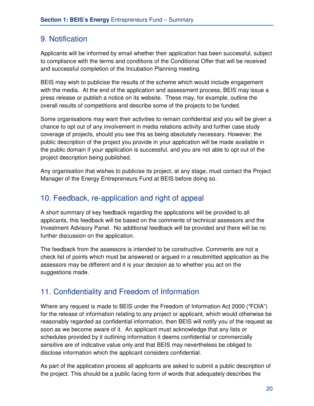### 9. Notification

Applicants will be informed by email whether their application has been successful, subject to compliance with the terms and conditions of the Conditional Offer that will be received and successful completion of the Incubation Planning meeting.

BEIS may wish to publicise the results of the scheme which would include engagement with the media. At the end of the application and assessment process, BEIS may issue a press release or publish a notice on its website. These may, for example, outline the overall results of competitions and describe some of the projects to be funded.

Some organisations may want their activities to remain confidential and you will be given a chance to opt out of any involvement in media relations activity and further case study coverage of projects, should you see this as being absolutely necessary. However, the public description of the project you provide in your application will be made available in the public domain if your application is successful, and you are not able to opt out of the project description being published.

Any organisation that wishes to publicise its project, at any stage, must contact the Project Manager of the Energy Entrepreneurs Fund at BEIS before doing so.

### 10. Feedback, re-application and right of appeal

A short summary of key feedback regarding the applications will be provided to all applicants, this feedback will be based on the comments of technical assessors and the Investment Advisory Panel. No additional feedback will be provided and there will be no further discussion on the application.

The feedback from the assessors is intended to be constructive. Comments are not a check list of points which must be answered or argued in a resubmitted application as the assessors may be different and it is your decision as to whether you act on the suggestions made.

### 11. Confidentiality and Freedom of Information

Where any request is made to BEIS under the Freedom of Information Act 2000 ("FOIA") for the release of information relating to any project or applicant, which would otherwise be reasonably regarded as confidential information, then BEIS will notify you of the request as soon as we become aware of it. An applicant must acknowledge that any lists or schedules provided by it outlining information it deems confidential or commercially sensitive are of indicative value only and that BEIS may nevertheless be obliged to disclose information which the applicant considers confidential.

As part of the application process all applicants are asked to submit a public description of the project. This should be a public facing form of words that adequately describes the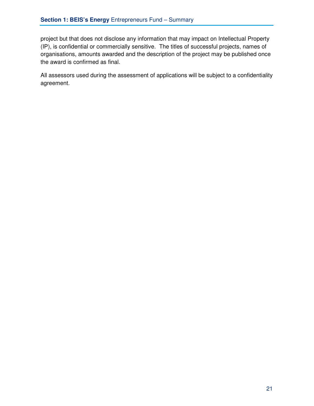project but that does not disclose any information that may impact on Intellectual Property (IP), is confidential or commercially sensitive. The titles of successful projects, names of organisations, amounts awarded and the description of the project may be published once the award is confirmed as final.

All assessors used during the assessment of applications will be subject to a confidentiality agreement.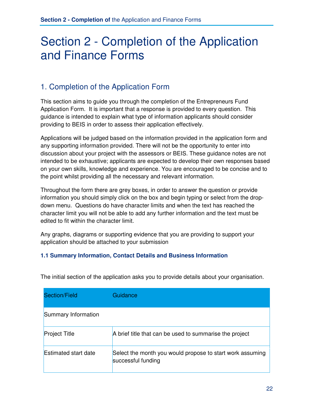# Section 2 - Completion of the Application and Finance Forms

# 1. Completion of the Application Form

This section aims to guide you through the completion of the Entrepreneurs Fund Application Form. It is important that a response is provided to every question. This guidance is intended to explain what type of information applicants should consider providing to BEIS in order to assess their application effectively.

Applications will be judged based on the information provided in the application form and any supporting information provided. There will not be the opportunity to enter into discussion about your project with the assessors or BEIS. These guidance notes are not intended to be exhaustive; applicants are expected to develop their own responses based on your own skills, knowledge and experience. You are encouraged to be concise and to the point whilst providing all the necessary and relevant information.

Throughout the form there are grey boxes, in order to answer the question or provide information you should simply click on the box and begin typing or select from the dropdown menu. Questions do have character limits and when the text has reached the character limit you will not be able to add any further information and the text must be edited to fit within the character limit.

Any graphs, diagrams or supporting evidence that you are providing to support your application should be attached to your submission

#### **1.1 Summary Information, Contact Details and Business Information**

| <b>Section/Field</b>        | Guidance                                                                        |
|-----------------------------|---------------------------------------------------------------------------------|
| Summary Information         |                                                                                 |
| <b>Project Title</b>        | A brief title that can be used to summarise the project                         |
| <b>Estimated start date</b> | Select the month you would propose to start work assuming<br>successful funding |

The initial section of the application asks you to provide details about your organisation.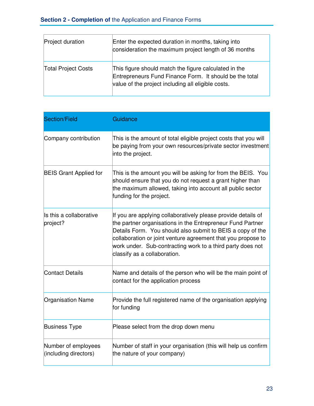| <b>Project duration</b>    | Enter the expected duration in months, taking into<br>consideration the maximum project length of 36 months                                                            |
|----------------------------|------------------------------------------------------------------------------------------------------------------------------------------------------------------------|
| <b>Total Project Costs</b> | This figure should match the figure calculated in the<br>Entrepreneurs Fund Finance Form. It should be the total<br>value of the project including all eligible costs. |

| <b>Section/Field</b>                         | Guidance                                                                                                                                                                                                                                                                                                                                                |
|----------------------------------------------|---------------------------------------------------------------------------------------------------------------------------------------------------------------------------------------------------------------------------------------------------------------------------------------------------------------------------------------------------------|
| Company contribution                         | This is the amount of total eligible project costs that you will<br>be paying from your own resources/private sector investment<br>into the project.                                                                                                                                                                                                    |
| <b>BEIS Grant Applied for</b>                | This is the amount you will be asking for from the BEIS. You<br>should ensure that you do not request a grant higher than<br>the maximum allowed, taking into account all public sector<br>funding for the project.                                                                                                                                     |
| Is this a collaborative<br>project?          | If you are applying collaboratively please provide details of<br>the partner organisations in the Entrepreneur Fund Partner<br>Details Form. You should also submit to BEIS a copy of the<br>collaboration or joint venture agreement that you propose to<br>work under. Sub-contracting work to a third party does not<br>classify as a collaboration. |
| <b>Contact Details</b>                       | Name and details of the person who will be the main point of<br>contact for the application process                                                                                                                                                                                                                                                     |
| <b>Organisation Name</b>                     | Provide the full registered name of the organisation applying<br>for funding                                                                                                                                                                                                                                                                            |
| <b>Business Type</b>                         | Please select from the drop down menu                                                                                                                                                                                                                                                                                                                   |
| Number of employees<br>(including directors) | Number of staff in your organisation (this will help us confirm<br>the nature of your company)                                                                                                                                                                                                                                                          |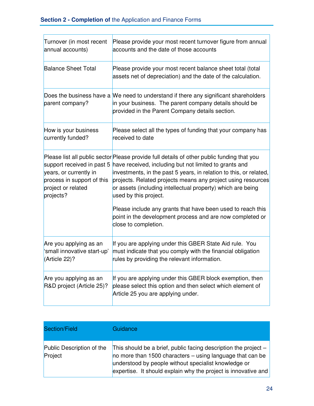| Turnover (in most recent<br>annual accounts)                                                                          | Please provide your most recent turnover figure from annual<br>accounts and the date of those accounts                                                                                                                                                                                                                                                                             |
|-----------------------------------------------------------------------------------------------------------------------|------------------------------------------------------------------------------------------------------------------------------------------------------------------------------------------------------------------------------------------------------------------------------------------------------------------------------------------------------------------------------------|
| <b>Balance Sheet Total</b>                                                                                            | Please provide your most recent balance sheet total (total<br>assets net of depreciation) and the date of the calculation.                                                                                                                                                                                                                                                         |
| parent company?                                                                                                       | Does the business have a We need to understand if there any significant shareholders<br>in your business. The parent company details should be<br>provided in the Parent Company details section.                                                                                                                                                                                  |
| How is your business<br>currently funded?                                                                             | Please select all the types of funding that your company has<br>received to date                                                                                                                                                                                                                                                                                                   |
| support received in past 5<br>years, or currently in<br>process in support of this<br>project or related<br>projects? | Please list all public sector Please provide full details of other public funding that you<br>have received, including but not limited to grants and<br>investments, in the past 5 years, in relation to this, or related,<br>projects. Related projects means any project using resources<br>or assets (including intellectual property) which are being<br>used by this project. |
|                                                                                                                       | Please include any grants that have been used to reach this<br>point in the development process and are now completed or<br>close to completion.                                                                                                                                                                                                                                   |
| Are you applying as an<br>'small innovative start-up'<br>(Article 22)?                                                | If you are applying under this GBER State Aid rule. You<br>must indicate that you comply with the financial obligation<br>rules by providing the relevant information.                                                                                                                                                                                                             |
| Are you applying as an<br>R&D project (Article 25)?                                                                   | If you are applying under this GBER block exemption, then<br>please select this option and then select which element of<br>Article 25 you are applying under.                                                                                                                                                                                                                      |

| Section/Field                        | Guidance                                                                                                                                                                                                                                                   |
|--------------------------------------|------------------------------------------------------------------------------------------------------------------------------------------------------------------------------------------------------------------------------------------------------------|
| Public Description of the<br>Project | This should be a brief, public facing description the project $-$<br>no more than 1500 characters $-$ using language that can be<br>understood by people without specialist knowledge or<br>expertise. It should explain why the project is innovative and |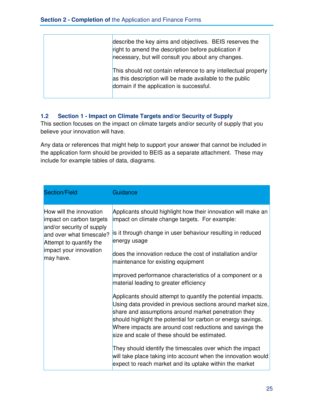| describe the key aims and objectives. BEIS reserves the<br>right to amend the description before publication if<br>necessary, but will consult you about any changes.  |
|------------------------------------------------------------------------------------------------------------------------------------------------------------------------|
| This should not contain reference to any intellectual property<br>as this description will be made available to the public<br>domain if the application is successful. |

#### **1.2 Section 1 - Impact on Climate Targets and/or Security of Supply**

This section focuses on the impact on climate targets and/or security of supply that you believe your innovation will have.

Any data or references that might help to support your answer that cannot be included in the application form should be provided to BEIS as a separate attachment. These may include for example tables of data, diagrams.

| <b>Section/Field</b>                                                                                                                                                           | Guidance                                                                                                                                                                                                                                                                                                                                                                                                                                                                                                                                                                                            |
|--------------------------------------------------------------------------------------------------------------------------------------------------------------------------------|-----------------------------------------------------------------------------------------------------------------------------------------------------------------------------------------------------------------------------------------------------------------------------------------------------------------------------------------------------------------------------------------------------------------------------------------------------------------------------------------------------------------------------------------------------------------------------------------------------|
| How will the innovation<br>impact on carbon targets<br>and/or security of supply<br>and over what timescale?<br>Attempt to quantify the<br>impact your innovation<br>may have. | Applicants should highlight how their innovation will make an<br>impact on climate change targets. For example:<br>is it through change in user behaviour resulting in reduced<br>energy usage<br>does the innovation reduce the cost of installation and/or<br>maintenance for existing equipment<br>improved performance characteristics of a component or a                                                                                                                                                                                                                                      |
|                                                                                                                                                                                | material leading to greater efficiency<br>Applicants should attempt to quantify the potential impacts.<br>Using data provided in previous sections around market size,<br>share and assumptions around market penetration they<br>should highlight the potential for carbon or energy savings.<br>Where impacts are around cost reductions and savings the<br>size and scale of these should be estimated.<br>They should identify the timescales over which the impact<br>will take place taking into account when the innovation would<br>expect to reach market and its uptake within the market |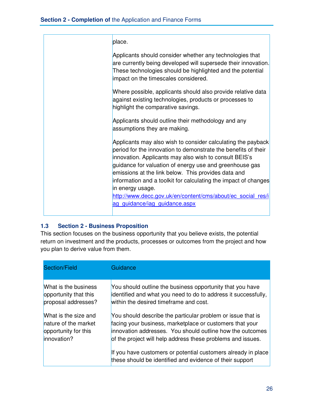| place.                                                                                                                                                                                                                                                                                                                                                                                                                                                                                            |
|---------------------------------------------------------------------------------------------------------------------------------------------------------------------------------------------------------------------------------------------------------------------------------------------------------------------------------------------------------------------------------------------------------------------------------------------------------------------------------------------------|
| Applicants should consider whether any technologies that<br>are currently being developed will supersede their innovation.<br>These technologies should be highlighted and the potential<br>impact on the timescales considered.                                                                                                                                                                                                                                                                  |
| Where possible, applicants should also provide relative data<br>against existing technologies, products or processes to<br>highlight the comparative savings.                                                                                                                                                                                                                                                                                                                                     |
| Applicants should outline their methodology and any<br>assumptions they are making.                                                                                                                                                                                                                                                                                                                                                                                                               |
| Applicants may also wish to consider calculating the payback<br>period for the innovation to demonstrate the benefits of their<br>innovation. Applicants may also wish to consult BEIS's<br>guidance for valuation of energy use and greenhouse gas<br>emissions at the link below. This provides data and<br>information and a toolkit for calculating the impact of changes<br>in energy usage.<br>http://www.decc.gov.uk/en/content/cms/about/ec_social_res/i<br>ag guidance/iag guidance.aspx |

#### **1.3 Section 2 - Business Proposition**

This section focuses on the business opportunity that you believe exists, the potential return on investment and the products, processes or outcomes from the project and how you plan to derive value from them.

| Section/Field         | Guidance                                                                                                                  |
|-----------------------|---------------------------------------------------------------------------------------------------------------------------|
| What is the business  | You should outline the business opportunity that you have                                                                 |
| opportunity that this | identified and what you need to do to address it successfully,                                                            |
| proposal addresses?   | within the desired timeframe and cost.                                                                                    |
| What is the size and  | You should describe the particular problem or issue that is                                                               |
| nature of the market  | facing your business, marketplace or customers that your                                                                  |
| opportunity for this  | innovation addresses. You should outline how the outcomes                                                                 |
| innovation?           | of the project will help address these problems and issues.                                                               |
|                       | If you have customers or potential customers already in place<br>these should be identified and evidence of their support |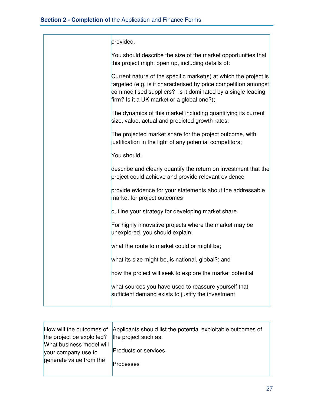| provided.                                                                                                                                                                                                                                        |
|--------------------------------------------------------------------------------------------------------------------------------------------------------------------------------------------------------------------------------------------------|
| You should describe the size of the market opportunities that<br>this project might open up, including details of:                                                                                                                               |
| Current nature of the specific market(s) at which the project is<br>targeted (e.g. is it characterised by price competition amongst<br>commoditised suppliers? Is it dominated by a single leading<br>firm? Is it a UK market or a global one?); |
| The dynamics of this market including quantifying its current<br>size, value, actual and predicted growth rates;                                                                                                                                 |
| The projected market share for the project outcome, with<br>justification in the light of any potential competitors;                                                                                                                             |
| You should:                                                                                                                                                                                                                                      |
| describe and clearly quantify the return on investment that the<br>project could achieve and provide relevant evidence                                                                                                                           |
| provide evidence for your statements about the addressable<br>market for project outcomes                                                                                                                                                        |
| outline your strategy for developing market share.                                                                                                                                                                                               |
| For highly innovative projects where the market may be<br>unexplored, you should explain:                                                                                                                                                        |
| what the route to market could or might be;                                                                                                                                                                                                      |
| what its size might be, is national, global?; and                                                                                                                                                                                                |
| how the project will seek to explore the market potential                                                                                                                                                                                        |
| what sources you have used to reassure yourself that<br>sufficient demand exists to justify the investment                                                                                                                                       |

| the project be exploited?                       | How will the outcomes of Applicants should list the potential exploitable outcomes of<br>the project such as: |
|-------------------------------------------------|---------------------------------------------------------------------------------------------------------------|
| What business model will<br>your company use to | <b>Products or services</b>                                                                                   |
| generate value from the                         | Processes                                                                                                     |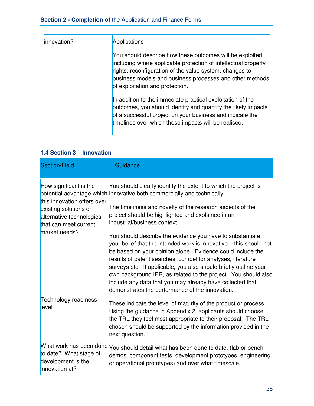#### **Section 2 - Completion of** the Application and Finance Forms

| linnovation? | Applications                                                                                                                                                                                                                                                                         |
|--------------|--------------------------------------------------------------------------------------------------------------------------------------------------------------------------------------------------------------------------------------------------------------------------------------|
|              | You should describe how these outcomes will be exploited<br>including where applicable protection of intellectual property<br>rights, reconfiguration of the value system, changes to<br>business models and business processes and other methods<br>of exploitation and protection. |
|              | In addition to the immediate practical exploitation of the<br>outcomes, you should identify and quantify the likely impacts<br>of a successful project on your business and indicate the<br>timelines over which these impacts will be realised.                                     |

#### **1.4 Section 3 – Innovation**

| <b>Section/Field</b>                                                                                      | Guidance                                                                                                                                                                                                                                                                                                                                                                                                                                                                                                           |
|-----------------------------------------------------------------------------------------------------------|--------------------------------------------------------------------------------------------------------------------------------------------------------------------------------------------------------------------------------------------------------------------------------------------------------------------------------------------------------------------------------------------------------------------------------------------------------------------------------------------------------------------|
| How significant is the                                                                                    | You should clearly identify the extent to which the project is<br>potential advantage which innovative both commercially and technically.                                                                                                                                                                                                                                                                                                                                                                          |
| this innovation offers over<br>existing solutions or<br>alternative technologies<br>that can meet current | The timeliness and novelty of the research aspects of the<br>project should be highlighted and explained in an<br>industrial/business context.                                                                                                                                                                                                                                                                                                                                                                     |
| market needs?                                                                                             | You should describe the evidence you have to substantiate<br>your belief that the intended work is innovative – this should not<br>be based on your opinion alone. Evidence could include the<br>results of patent searches, competitor analyses, literature<br>surveys etc. If applicable, you also should briefly outline your<br>own background IPR, as related to the project. You should also<br>include any data that you may already have collected that<br>demonstrates the performance of the innovation. |
| Technology readiness<br>level                                                                             | These indicate the level of maturity of the product or process.<br>Using the guidance in Appendix 2, applicants should choose<br>the TRL they feel most appropriate to their proposal. The TRL<br>chosen should be supported by the information provided in the<br>next question.                                                                                                                                                                                                                                  |
| to date? What stage of<br>development is the<br>innovation at?                                            | What work has been done You should detail what has been done to date, (lab or bench<br>demos, component tests, development prototypes, engineering<br>or operational prototypes) and over what timescale.                                                                                                                                                                                                                                                                                                          |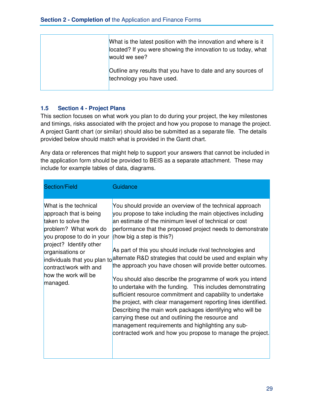| What is the latest position with the innovation and where is it<br>located? If you were showing the innovation to us today, what<br>would we see? |
|---------------------------------------------------------------------------------------------------------------------------------------------------|
| Outline any results that you have to date and any sources of<br>technology you have used.                                                         |

#### **1.5 Section 4 - Project Plans**

This section focuses on what work you plan to do during your project, the key milestones and timings, risks associated with the project and how you propose to manage the project. A project Gantt chart (or similar) should also be submitted as a separate file. The details provided below should match what is provided in the Gantt chart.

Any data or references that might help to support your answers that cannot be included in the application form should be provided to BEIS as a separate attachment. These may include for example tables of data, diagrams.

| <b>Section/Field</b>                                                                                                                                                                                                                     | Guidance                                                                                                                                                                                                                                                                                                                                                                                                                                                                                                                                                                                                                                                                                                                                                                                                                                                                                                                                                                                           |
|------------------------------------------------------------------------------------------------------------------------------------------------------------------------------------------------------------------------------------------|----------------------------------------------------------------------------------------------------------------------------------------------------------------------------------------------------------------------------------------------------------------------------------------------------------------------------------------------------------------------------------------------------------------------------------------------------------------------------------------------------------------------------------------------------------------------------------------------------------------------------------------------------------------------------------------------------------------------------------------------------------------------------------------------------------------------------------------------------------------------------------------------------------------------------------------------------------------------------------------------------|
| What is the technical<br>approach that is being<br>taken to solve the<br>problem? What work do<br>you propose to do in your<br>project? Identify other<br>organisations or<br>contract/work with and<br>how the work will be<br>managed. | You should provide an overview of the technical approach<br>you propose to take including the main objectives including<br>an estimate of the minimum level of technical or cost<br>performance that the proposed project needs to demonstrate<br>(how big a step is this?)<br>As part of this you should include rival technologies and<br>individuals that you plan to alternate R&D strategies that could be used and explain why<br>the approach you have chosen will provide better outcomes.<br>You should also describe the programme of work you intend<br>to undertake with the funding. This includes demonstrating<br>sufficient resource commitment and capability to undertake<br>the project, with clear management reporting lines identified.<br>Describing the main work packages identifying who will be<br>carrying these out and outlining the resource and<br>management requirements and highlighting any sub-<br>contracted work and how you propose to manage the project. |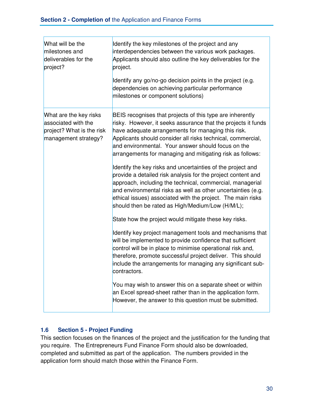| What will be the<br>milestones and<br>deliverables for the<br>project?                             | Identify the key milestones of the project and any<br>interdependencies between the various work packages.<br>Applicants should also outline the key deliverables for the<br>project.<br>Identify any go/no-go decision points in the project (e.g.<br>dependencies on achieving particular performance<br>milestones or component solutions)                                                                                                                                                                                                                                                                                                                                                                                                                                                                                                                                                                                                                                                                                                                                                                                                                                                                                                                                                                                        |
|----------------------------------------------------------------------------------------------------|--------------------------------------------------------------------------------------------------------------------------------------------------------------------------------------------------------------------------------------------------------------------------------------------------------------------------------------------------------------------------------------------------------------------------------------------------------------------------------------------------------------------------------------------------------------------------------------------------------------------------------------------------------------------------------------------------------------------------------------------------------------------------------------------------------------------------------------------------------------------------------------------------------------------------------------------------------------------------------------------------------------------------------------------------------------------------------------------------------------------------------------------------------------------------------------------------------------------------------------------------------------------------------------------------------------------------------------|
| What are the key risks<br>associated with the<br>project? What is the risk<br>management strategy? | BEIS recognises that projects of this type are inherently<br>risky. However, it seeks assurance that the projects it funds<br>have adequate arrangements for managing this risk.<br>Applicants should consider all risks technical, commercial,<br>and environmental. Your answer should focus on the<br>arrangements for managing and mitigating risk as follows:<br>Identify the key risks and uncertainties of the project and<br>provide a detailed risk analysis for the project content and<br>approach, including the technical, commercial, managerial<br>and environmental risks as well as other uncertainties (e.g.<br>ethical issues) associated with the project. The main risks<br>should then be rated as High/Medium/Low (H/M/L);<br>State how the project would mitigate these key risks.<br>Identify key project management tools and mechanisms that<br>will be implemented to provide confidence that sufficient<br>control will be in place to minimise operational risk and,<br>therefore, promote successful project deliver. This should<br>include the arrangements for managing any significant sub-<br>contractors.<br>You may wish to answer this on a separate sheet or within<br>an Excel spread-sheet rather than in the application form.<br>However, the answer to this question must be submitted. |

#### **1.6 Section 5 - Project Funding**

This section focuses on the finances of the project and the justification for the funding that you require. The Entrepreneurs Fund Finance Form should also be downloaded, completed and submitted as part of the application. The numbers provided in the application form should match those within the Finance Form.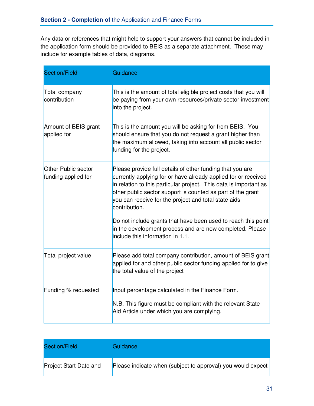Any data or references that might help to support your answers that cannot be included in the application form should be provided to BEIS as a separate attachment. These may include for example tables of data, diagrams.

| <b>Section/Field</b>                       | Guidance                                                                                                                                                                                                                                                                                                                                 |
|--------------------------------------------|------------------------------------------------------------------------------------------------------------------------------------------------------------------------------------------------------------------------------------------------------------------------------------------------------------------------------------------|
| Total company<br>contribution              | This is the amount of total eligible project costs that you will<br>be paying from your own resources/private sector investment<br>into the project.                                                                                                                                                                                     |
| Amount of BEIS grant<br>applied for        | This is the amount you will be asking for from BEIS. You<br>should ensure that you do not request a grant higher than<br>the maximum allowed, taking into account all public sector<br>funding for the project.                                                                                                                          |
| Other Public sector<br>funding applied for | Please provide full details of other funding that you are<br>currently applying for or have already applied for or received<br>in relation to this particular project. This data is important as<br>other public sector support is counted as part of the grant<br>you can receive for the project and total state aids<br>contribution. |
|                                            | Do not include grants that have been used to reach this point<br>in the development process and are now completed. Please<br>include this information in 1.1.                                                                                                                                                                            |
| Total project value                        | Please add total company contribution, amount of BEIS grant<br>applied for and other public sector funding applied for to give<br>the total value of the project                                                                                                                                                                         |
| Funding % requested                        | Input percentage calculated in the Finance Form.<br>N.B. This figure must be compliant with the relevant State<br>Aid Article under which you are complying.                                                                                                                                                                             |

| Section/Field                 | Guidance                                                    |
|-------------------------------|-------------------------------------------------------------|
| <b>Project Start Date and</b> | Please indicate when (subject to approval) you would expect |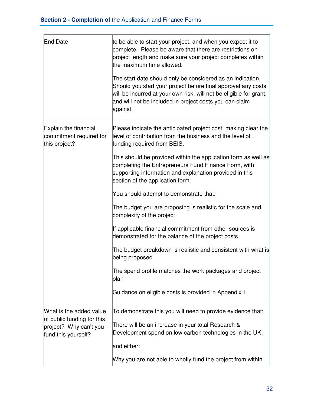| <b>End Date</b>                                                             | to be able to start your project, and when you expect it to<br>complete. Please be aware that there are restrictions on<br>project length and make sure your project completes within<br>the maximum time allowed.<br>The start date should only be considered as an indication.<br>Should you start your project before final approval any costs<br>will be incurred at your own risk, will not be eligible for grant,<br>and will not be included in project costs you can claim<br>against. |
|-----------------------------------------------------------------------------|------------------------------------------------------------------------------------------------------------------------------------------------------------------------------------------------------------------------------------------------------------------------------------------------------------------------------------------------------------------------------------------------------------------------------------------------------------------------------------------------|
| Explain the financial<br>commitment required for<br>this project?           | Please indicate the anticipated project cost, making clear the<br>level of contribution from the business and the level of<br>funding required from BEIS.                                                                                                                                                                                                                                                                                                                                      |
|                                                                             | This should be provided within the application form as well as<br>completing the Entrepreneurs Fund Finance Form, with<br>supporting information and explanation provided in this<br>section of the application form.                                                                                                                                                                                                                                                                          |
|                                                                             | You should attempt to demonstrate that:                                                                                                                                                                                                                                                                                                                                                                                                                                                        |
|                                                                             | The budget you are proposing is realistic for the scale and<br>complexity of the project                                                                                                                                                                                                                                                                                                                                                                                                       |
|                                                                             | If applicable financial commitment from other sources is<br>demonstrated for the balance of the project costs                                                                                                                                                                                                                                                                                                                                                                                  |
|                                                                             | The budget breakdown is realistic and consistent with what is<br>being proposed                                                                                                                                                                                                                                                                                                                                                                                                                |
|                                                                             | The spend profile matches the work packages and project<br>plan                                                                                                                                                                                                                                                                                                                                                                                                                                |
|                                                                             | Guidance on eligible costs is provided in Appendix 1                                                                                                                                                                                                                                                                                                                                                                                                                                           |
| What is the added value                                                     | To demonstrate this you will need to provide evidence that:                                                                                                                                                                                                                                                                                                                                                                                                                                    |
| of public funding for this<br>project? Why can't you<br>fund this yourself? | There will be an increase in your total Research &<br>Development spend on low carbon technologies in the UK;                                                                                                                                                                                                                                                                                                                                                                                  |
|                                                                             | and either:                                                                                                                                                                                                                                                                                                                                                                                                                                                                                    |
|                                                                             | Why you are not able to wholly fund the project from within                                                                                                                                                                                                                                                                                                                                                                                                                                    |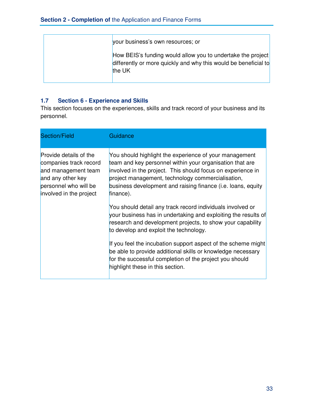| your business's own resources; or                                                                                                        |
|------------------------------------------------------------------------------------------------------------------------------------------|
| How BEIS's funding would allow you to undertake the project<br>differently or more quickly and why this would be beneficial to<br>the UK |

#### **1.7 Section 6 - Experience and Skills**

This section focuses on the experiences, skills and track record of your business and its personnel.

| <b>Section/Field</b>                                                                                                                             | Guidance                                                                                                                                                                                                                                                                                                            |
|--------------------------------------------------------------------------------------------------------------------------------------------------|---------------------------------------------------------------------------------------------------------------------------------------------------------------------------------------------------------------------------------------------------------------------------------------------------------------------|
| Provide details of the<br>companies track record<br>and management team<br>and any other key<br>personnel who will be<br>involved in the project | You should highlight the experience of your management<br>team and key personnel within your organisation that are<br>involved in the project. This should focus on experience in<br>project management, technology commercialisation,<br>business development and raising finance (i.e. loans, equity<br>finance). |
|                                                                                                                                                  | You should detail any track record individuals involved or<br>your business has in undertaking and exploiting the results of<br>research and development projects, to show your capability<br>to develop and exploit the technology.                                                                                |
|                                                                                                                                                  | If you feel the incubation support aspect of the scheme might<br>be able to provide additional skills or knowledge necessary<br>for the successful completion of the project you should<br>highlight these in this section.                                                                                         |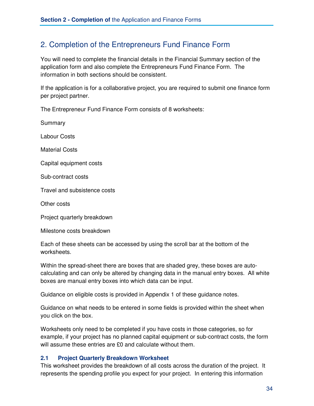### 2. Completion of the Entrepreneurs Fund Finance Form

You will need to complete the financial details in the Financial Summary section of the application form and also complete the Entrepreneurs Fund Finance Form. The information in both sections should be consistent.

If the application is for a collaborative project, you are required to submit one finance form per project partner.

The Entrepreneur Fund Finance Form consists of 8 worksheets:

Summary

Labour Costs

Material Costs

Capital equipment costs

Sub-contract costs

Travel and subsistence costs

Other costs

Project quarterly breakdown

Milestone costs breakdown

Each of these sheets can be accessed by using the scroll bar at the bottom of the worksheets.

Within the spread-sheet there are boxes that are shaded grey, these boxes are autocalculating and can only be altered by changing data in the manual entry boxes. All white boxes are manual entry boxes into which data can be input.

Guidance on eligible costs is provided in Appendix 1 of these guidance notes.

Guidance on what needs to be entered in some fields is provided within the sheet when you click on the box.

Worksheets only need to be completed if you have costs in those categories, so for example, if your project has no planned capital equipment or sub-contract costs, the form will assume these entries are £0 and calculate without them.

#### **2.1 Project Quarterly Breakdown Worksheet**

This worksheet provides the breakdown of all costs across the duration of the project. It represents the spending profile you expect for your project. In entering this information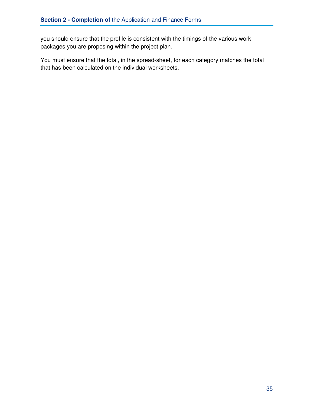you should ensure that the profile is consistent with the timings of the various work packages you are proposing within the project plan.

You must ensure that the total, in the spread-sheet, for each category matches the total that has been calculated on the individual worksheets.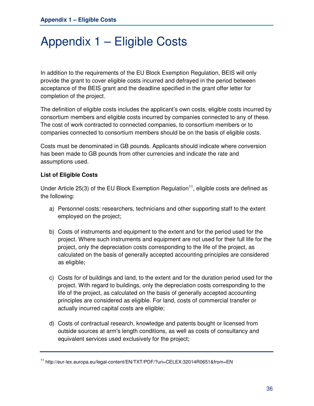# Appendix 1 – Eligible Costs

In addition to the requirements of the EU Block Exemption Regulation, BEIS will only provide the grant to cover eligible costs incurred and defrayed in the period between acceptance of the BEIS grant and the deadline specified in the grant offer letter for completion of the project.

The definition of eligible costs includes the applicant's own costs, eligible costs incurred by consortium members and eligible costs incurred by companies connected to any of these. The cost of work contracted to connected companies, to consortium members or to companies connected to consortium members should be on the basis of eligible costs.

Costs must be denominated in GB pounds. Applicants should indicate where conversion has been made to GB pounds from other currencies and indicate the rate and assumptions used.

#### **List of Eligible Costs**

Under Article 25(3) of the EU Block Exemption Regulation<sup>11</sup>, eligible costs are defined as the following:

- a) Personnel costs: researchers, technicians and other supporting staff to the extent employed on the project;
- b) Costs of instruments and equipment to the extent and for the period used for the project. Where such instruments and equipment are not used for their full life for the project, only the depreciation costs corresponding to the life of the project, as calculated on the basis of generally accepted accounting principles are considered as eligible;
- c) Costs for of buildings and land, to the extent and for the duration period used for the project. With regard to buildings, only the depreciation costs corresponding to the life of the project, as calculated on the basis of generally accepted accounting principles are considered as eligible. For land, costs of commercial transfer or actually incurred capital costs are eligible;
- d) Costs of contractual research, knowledge and patents bought or licensed from outside sources at arm's length conditions, as well as costs of consultancy and equivalent services used exclusively for the project;

<sup>11</sup> http://eur-lex.europa.eu/legal-content/EN/TXT/PDF/?uri=CELEX:32014R0651&from=EN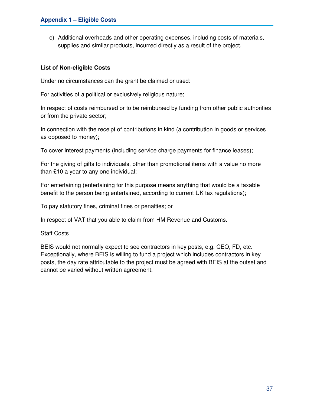e) Additional overheads and other operating expenses, including costs of materials, supplies and similar products, incurred directly as a result of the project.

#### **List of Non-eligible Costs**

Under no circumstances can the grant be claimed or used:

For activities of a political or exclusively religious nature;

In respect of costs reimbursed or to be reimbursed by funding from other public authorities or from the private sector;

In connection with the receipt of contributions in kind (a contribution in goods or services as opposed to money);

To cover interest payments (including service charge payments for finance leases);

For the giving of gifts to individuals, other than promotional items with a value no more than £10 a year to any one individual;

For entertaining (entertaining for this purpose means anything that would be a taxable benefit to the person being entertained, according to current UK tax regulations);

To pay statutory fines, criminal fines or penalties; or

In respect of VAT that you able to claim from HM Revenue and Customs.

Staff Costs

BEIS would not normally expect to see contractors in key posts, e.g. CEO, FD, etc. Exceptionally, where BEIS is willing to fund a project which includes contractors in key posts, the day rate attributable to the project must be agreed with BEIS at the outset and cannot be varied without written agreement.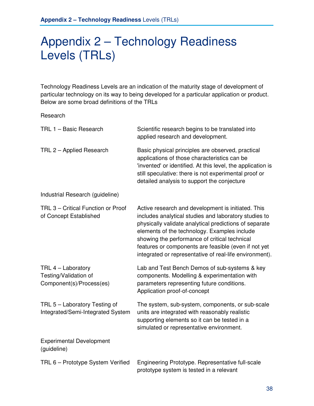# Appendix 2 – Technology Readiness Levels (TRLs)

Technology Readiness Levels are an indication of the maturity stage of development of particular technology on its way to being developed for a particular application or product. Below are some broad definitions of the TRLs

Research

| TRL 1 - Basic Research                                                  | Scientific research begins to be translated into<br>applied research and development.                                                                                                                                                                                                                                                                                                     |
|-------------------------------------------------------------------------|-------------------------------------------------------------------------------------------------------------------------------------------------------------------------------------------------------------------------------------------------------------------------------------------------------------------------------------------------------------------------------------------|
| TRL 2 - Applied Research                                                | Basic physical principles are observed, practical<br>applications of those characteristics can be<br>'invented' or identified. At this level, the application is<br>still speculative: there is not experimental proof or<br>detailed analysis to support the conjecture                                                                                                                  |
| Industrial Research (guideline)                                         |                                                                                                                                                                                                                                                                                                                                                                                           |
| TRL 3 - Critical Function or Proof<br>of Concept Established            | Active research and development is initiated. This<br>includes analytical studies and laboratory studies to<br>physically validate analytical predictions of separate<br>elements of the technology. Examples include<br>showing the performance of critical technical<br>features or components are feasible (even if not yet<br>integrated or representative of real-life environment). |
| TRL 4 - Laboratory<br>Testing/Validation of<br>Component(s)/Process(es) | Lab and Test Bench Demos of sub-systems & key<br>components. Modelling & experimentation with<br>parameters representing future conditions.<br>Application proof-of-concept                                                                                                                                                                                                               |
| TRL 5 - Laboratory Testing of<br>Integrated/Semi-Integrated System      | The system, sub-system, components, or sub-scale<br>units are integrated with reasonably realistic<br>supporting elements so it can be tested in a<br>simulated or representative environment.                                                                                                                                                                                            |
| <b>Experimental Development</b><br>(guideline)                          |                                                                                                                                                                                                                                                                                                                                                                                           |
| TRL 6 - Prototype System Verified                                       | Engineering Prototype. Representative full-scale<br>prototype system is tested in a relevant                                                                                                                                                                                                                                                                                              |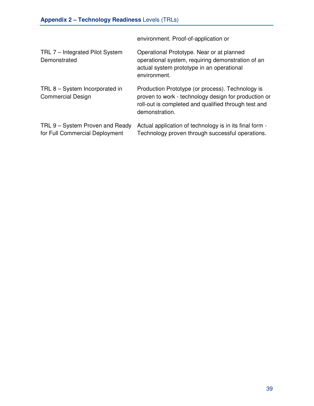|                                                                   | environment. Proof-of-application or                                                                                                                                               |
|-------------------------------------------------------------------|------------------------------------------------------------------------------------------------------------------------------------------------------------------------------------|
| TRL 7 – Integrated Pilot System<br>Demonstrated                   | Operational Prototype. Near or at planned<br>operational system, requiring demonstration of an<br>actual system prototype in an operational<br>environment.                        |
| TRL 8 - System Incorporated in<br><b>Commercial Design</b>        | Production Prototype (or process). Technology is<br>proven to work - technology design for production or<br>roll-out is completed and qualified through test and<br>demonstration. |
| TRL 9 – System Proven and Ready<br>for Full Commercial Deployment | Actual application of technology is in its final form -<br>Technology proven through successful operations.                                                                        |